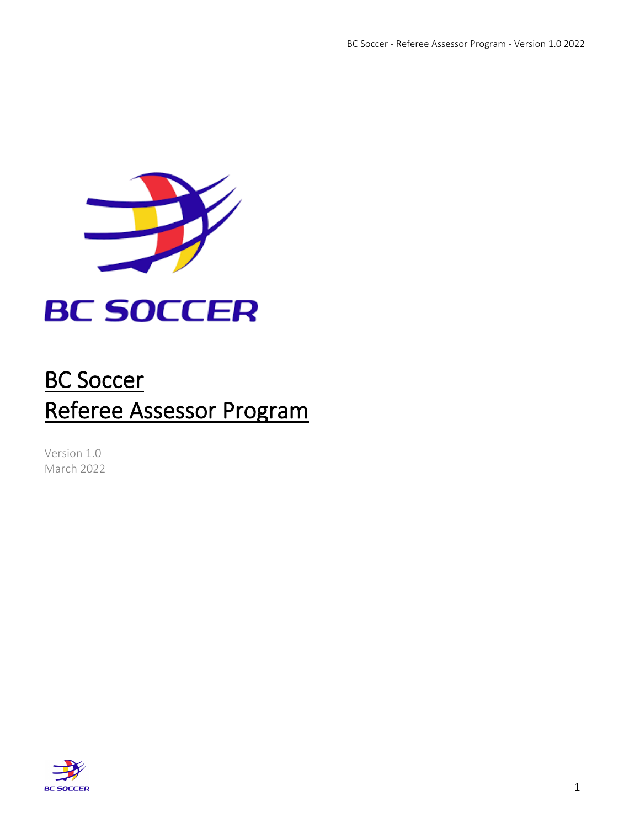

# **BC SOCCER**

## BC Soccer Referee Assessor Program

Version 1.0 March 2022

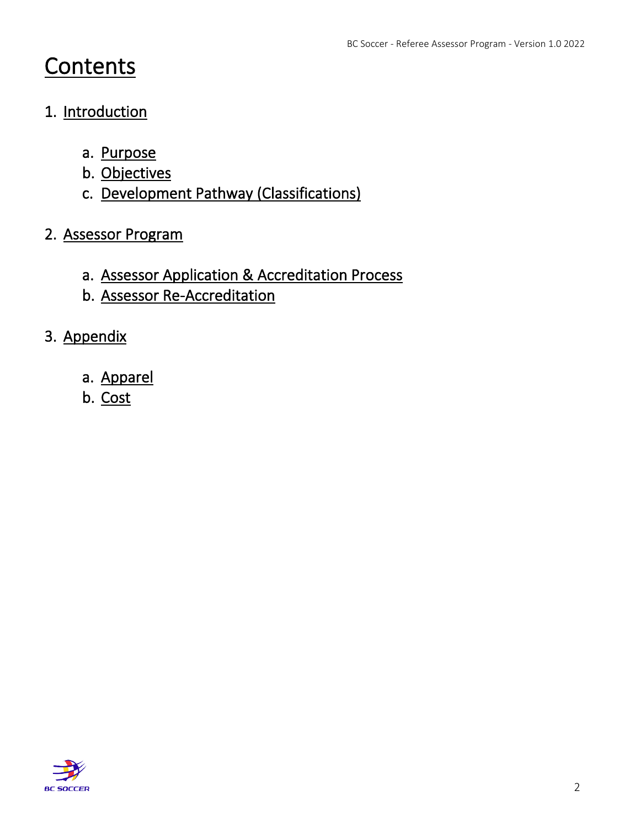## **Contents**

## 1. Introduction

- a. Purpose
- b. Objectives
- c. Development Pathway (Classifications)

## 2. Assessor Program

- a. Assessor Application & Accreditation Process
- b. Assessor Re-Accreditation
- 3. Appendix
	- a. Apparel
	- b. Cost

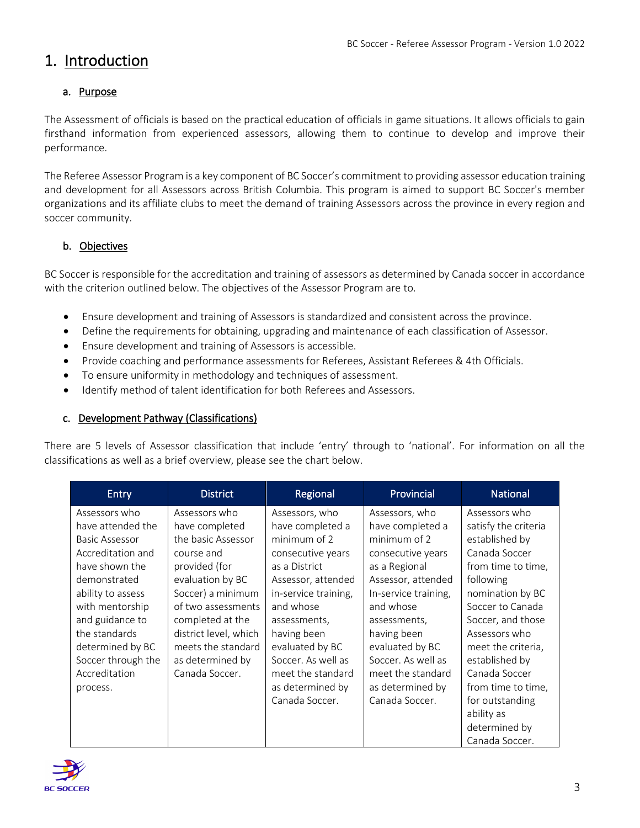## 1. Introduction

#### a. Purpose

The Assessment of officials is based on the practical education of officials in game situations. It allows officials to gain firsthand information from experienced assessors, allowing them to continue to develop and improve their performance.

The Referee Assessor Program is a key component of BC Soccer's commitment to providing assessor education training and development for all Assessors across British Columbia. This program is aimed to support BC Soccer's member organizations and its affiliate clubs to meet the demand of training Assessors across the province in every region and soccer community.

#### b. Objectives

BC Soccer is responsible for the accreditation and training of assessors as determined by Canada soccer in accordance with the criterion outlined below. The objectives of the Assessor Program are to.

- Ensure development and training of Assessors is standardized and consistent across the province.
- Define the requirements for obtaining, upgrading and maintenance of each classification of Assessor.
- Ensure development and training of Assessors is accessible.
- Provide coaching and performance assessments for Referees, Assistant Referees & 4th Officials.
- To ensure uniformity in methodology and techniques of assessment.
- Identify method of talent identification for both Referees and Assessors.

#### c. Development Pathway (Classifications)

There are 5 levels of Assessor classification that include 'entry' through to 'national'. For information on all the classifications as well as a brief overview, please see the chart below.

| Entry                                                                                                                                                                                                                                                          | <b>District</b>                                                                                                                                                                                                                                              | Regional                                                                                                                                                                                                                                                                               | Provincial                                                                                                                                                                                                                                                                             | <b>National</b>                                                                                                                                                                                                                                                                                                                              |
|----------------------------------------------------------------------------------------------------------------------------------------------------------------------------------------------------------------------------------------------------------------|--------------------------------------------------------------------------------------------------------------------------------------------------------------------------------------------------------------------------------------------------------------|----------------------------------------------------------------------------------------------------------------------------------------------------------------------------------------------------------------------------------------------------------------------------------------|----------------------------------------------------------------------------------------------------------------------------------------------------------------------------------------------------------------------------------------------------------------------------------------|----------------------------------------------------------------------------------------------------------------------------------------------------------------------------------------------------------------------------------------------------------------------------------------------------------------------------------------------|
| Assessors who<br>have attended the<br>Basic Assessor<br>Accreditation and<br>have shown the<br>demonstrated<br>ability to assess<br>with mentorship<br>and guidance to<br>the standards<br>determined by BC<br>Soccer through the<br>Accreditation<br>process. | Assessors who<br>have completed<br>the basic Assessor<br>course and<br>provided (for<br>evaluation by BC<br>Soccer) a minimum<br>of two assessments<br>completed at the<br>district level, which<br>meets the standard<br>as determined by<br>Canada Soccer. | Assessors, who<br>have completed a<br>minimum of 2<br>consecutive years<br>as a District<br>Assessor, attended<br>in-service training,<br>and whose<br>assessments,<br>having been<br>evaluated by BC<br>Soccer. As well as<br>meet the standard<br>as determined by<br>Canada Soccer. | Assessors, who<br>have completed a<br>minimum of 2<br>consecutive years<br>as a Regional<br>Assessor, attended<br>In-service training,<br>and whose<br>assessments,<br>having been<br>evaluated by BC<br>Soccer. As well as<br>meet the standard<br>as determined by<br>Canada Soccer. | Assessors who<br>satisfy the criteria<br>established by<br>Canada Soccer<br>from time to time,<br>following<br>nomination by BC<br>Soccer to Canada<br>Soccer, and those<br>Assessors who<br>meet the criteria,<br>established by<br>Canada Soccer<br>from time to time,<br>for outstanding<br>ability as<br>determined by<br>Canada Soccer. |

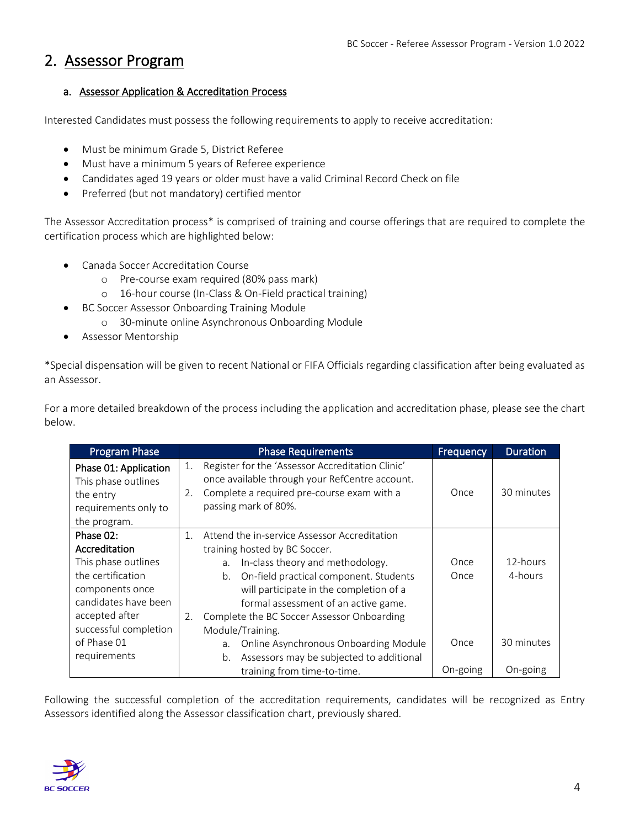## 2. Assessor Program

#### a. Assessor Application & Accreditation Process

Interested Candidates must possess the following requirements to apply to receive accreditation:

- Must be minimum Grade 5, District Referee
- Must have a minimum 5 years of Referee experience
- Candidates aged 19 years or older must have a valid Criminal Record Check on file
- Preferred (but not mandatory) certified mentor

The Assessor Accreditation process\* is comprised of training and course offerings that are required to complete the certification process which are highlighted below:

- Canada Soccer Accreditation Course
	- o Pre-course exam required (80% pass mark)
	- o 16-hour course (In-Class & On-Field practical training)
- BC Soccer Assessor Onboarding Training Module
	- o 30-minute online Asynchronous Onboarding Module
- Assessor Mentorship

\*Special dispensation will be given to recent National or FIFA Officials regarding classification after being evaluated as an Assessor.

For a more detailed breakdown of the process including the application and accreditation phase, please see the chart below.

| <b>Program Phase</b>                                                                              | <b>Phase Requirements</b> |                                                                                                                                                                          | Frequency | <b>Duration</b> |
|---------------------------------------------------------------------------------------------------|---------------------------|--------------------------------------------------------------------------------------------------------------------------------------------------------------------------|-----------|-----------------|
| Phase 01: Application<br>This phase outlines<br>the entry<br>requirements only to<br>the program. | 1.<br>2.                  | Register for the 'Assessor Accreditation Clinic'<br>once available through your RefCentre account.<br>Complete a required pre-course exam with a<br>passing mark of 80%. | Once      | 30 minutes      |
| Phase 02:                                                                                         | 1.                        | Attend the in-service Assessor Accreditation                                                                                                                             |           |                 |
| Accreditation                                                                                     |                           | training hosted by BC Soccer.                                                                                                                                            |           |                 |
| This phase outlines                                                                               |                           | In-class theory and methodology.<br>a.                                                                                                                                   | Once      | 12-hours        |
| the certification                                                                                 |                           | On-field practical component. Students<br>b.                                                                                                                             | Once      | 4-hours         |
| components once                                                                                   |                           | will participate in the completion of a                                                                                                                                  |           |                 |
| candidates have been                                                                              |                           | formal assessment of an active game.                                                                                                                                     |           |                 |
| accepted after                                                                                    | 2.                        | Complete the BC Soccer Assessor Onboarding                                                                                                                               |           |                 |
| successful completion                                                                             |                           | Module/Training.                                                                                                                                                         |           |                 |
| of Phase 01                                                                                       |                           | Online Asynchronous Onboarding Module<br>a.                                                                                                                              | Once      | 30 minutes      |
| requirements                                                                                      |                           | Assessors may be subjected to additional<br>b.                                                                                                                           |           |                 |
|                                                                                                   |                           | training from time-to-time.                                                                                                                                              | On-going  | On-going        |

Following the successful completion of the accreditation requirements, candidates will be recognized as Entry Assessors identified along the Assessor classification chart, previously shared.